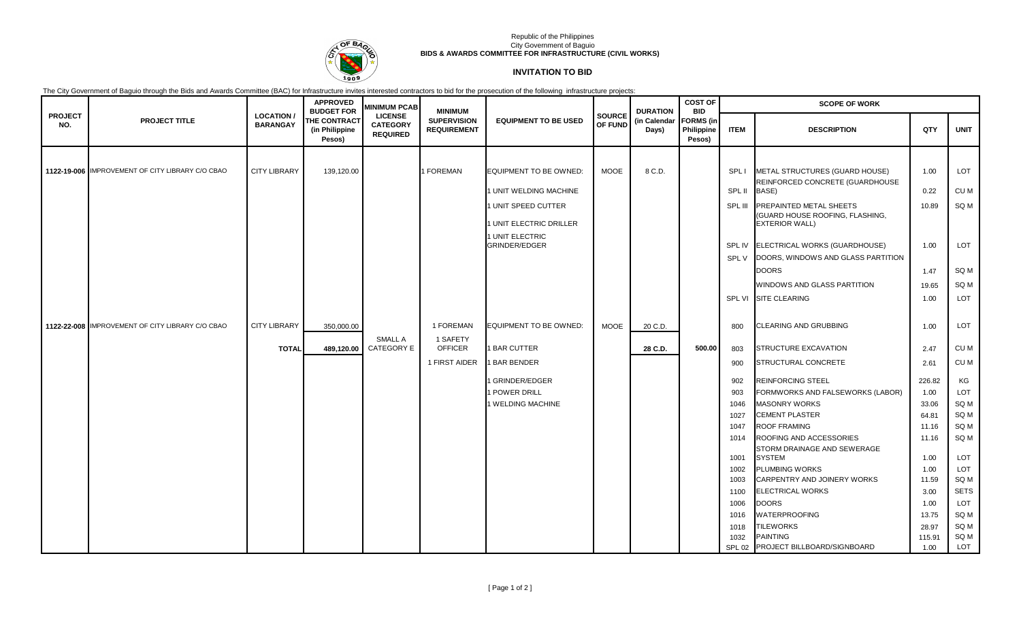

#### Republic of the Philippines City Government of Baguio **BIDS & AWARDS COMMITTEE FOR INFRASTRUCTURE (CIVIL WORKS)**

# **INVITATION TO BID**

The City Government of Baguio through the Bids and Awards Committee (BAC) for Infrastructure invites interested contractors to bid for the prosecution of the following infrastructure projects:

|                       | <b>PROJECT TITLE</b>                             | <b>LOCATION/</b><br><b>BARANGAY</b> | <b>APPROVED</b><br><b>BUDGET FOR</b><br><b>THE CONTRACT</b><br>(in Philippine<br>Pesos) | <b>MINIMUM PCAB</b><br><b>LICENSE</b><br><b>CATEGORY</b><br><b>REQUIRED</b> | <b>MINIMUM</b><br><b>SUPERVISION</b><br><b>REQUIREMENT</b> | <b>EQUIPMENT TO BE USED</b>      | <b>SOURCE</b><br>OF FUND | <b>DURATION</b><br>(in Calendar<br>Days) | <b>COST OF</b><br><b>BID</b><br><b>FORMS</b> (in<br>Philippine<br>Pesos) | <b>SCOPE OF WORK</b> |                                                                   |        |             |
|-----------------------|--------------------------------------------------|-------------------------------------|-----------------------------------------------------------------------------------------|-----------------------------------------------------------------------------|------------------------------------------------------------|----------------------------------|--------------------------|------------------------------------------|--------------------------------------------------------------------------|----------------------|-------------------------------------------------------------------|--------|-------------|
| <b>PROJECT</b><br>NO. |                                                  |                                     |                                                                                         |                                                                             |                                                            |                                  |                          |                                          |                                                                          | <b>ITEM</b>          | <b>DESCRIPTION</b>                                                | QTY    | <b>UNIT</b> |
|                       |                                                  |                                     |                                                                                         |                                                                             |                                                            |                                  |                          |                                          |                                                                          |                      |                                                                   |        |             |
|                       | 1122-19-006 IMPROVEMENT OF CITY LIBRARY C/O CBAO | <b>CITY LIBRARY</b>                 | 139,120.00                                                                              |                                                                             | I FOREMAN                                                  | <b>EQUIPMENT TO BE OWNED:</b>    | <b>MOOE</b>              | 8 C.D.                                   |                                                                          | SPL I                | METAL STRUCTURES (GUARD HOUSE)                                    | 1.00   | LOT         |
|                       |                                                  |                                     |                                                                                         |                                                                             |                                                            | 1 UNIT WELDING MACHINE           |                          |                                          |                                                                          | SPL II               | REINFORCED CONCRETE (GUARDHOUSE<br>BASE)                          | 0.22   | CU M        |
|                       |                                                  |                                     |                                                                                         |                                                                             |                                                            | 1 UNIT SPEED CUTTER              |                          |                                          |                                                                          | SPL III              | <b>PREPAINTED METAL SHEETS</b><br>(GUARD HOUSE ROOFING, FLASHING, | 10.89  | SQ M        |
|                       |                                                  |                                     |                                                                                         |                                                                             |                                                            | 1 UNIT ELECTRIC DRILLER          |                          |                                          |                                                                          |                      | <b>EXTERIOR WALL)</b>                                             |        |             |
|                       |                                                  |                                     |                                                                                         |                                                                             |                                                            | 1 UNIT ELECTRIC<br>GRINDER/EDGER |                          |                                          |                                                                          | SPL IV               | ELECTRICAL WORKS (GUARDHOUSE)                                     | 1.00   | LOT         |
|                       |                                                  |                                     |                                                                                         |                                                                             |                                                            |                                  |                          |                                          |                                                                          | SPL V                | DOORS, WINDOWS AND GLASS PARTITION                                |        |             |
|                       |                                                  |                                     |                                                                                         |                                                                             |                                                            |                                  |                          |                                          |                                                                          |                      | <b>DOORS</b>                                                      | 1.47   | SQ M        |
|                       |                                                  |                                     |                                                                                         |                                                                             |                                                            |                                  |                          |                                          |                                                                          |                      | WINDOWS AND GLASS PARTITION                                       | 19.65  | SQ M        |
|                       |                                                  |                                     |                                                                                         |                                                                             |                                                            |                                  |                          |                                          |                                                                          | SPL VI               | <b>SITE CLEARING</b>                                              | 1.00   | LOT         |
|                       |                                                  |                                     |                                                                                         |                                                                             |                                                            |                                  |                          |                                          |                                                                          |                      |                                                                   |        |             |
|                       | 1122-22-008 IMPROVEMENT OF CITY LIBRARY C/O CBAO | <b>CITY LIBRARY</b>                 | 350,000.00                                                                              |                                                                             | 1 FOREMAN                                                  | <b>EQUIPMENT TO BE OWNED:</b>    | <b>MOOE</b>              | 20 C.D.                                  |                                                                          | 800                  | <b>CLEARING AND GRUBBING</b>                                      | 1.00   | LOT         |
|                       |                                                  |                                     |                                                                                         | <b>SMALL A</b>                                                              | 1 SAFETY                                                   |                                  |                          |                                          |                                                                          |                      |                                                                   |        |             |
|                       |                                                  | <b>TOTAL</b>                        | 489,120.00                                                                              | CATEGORY E                                                                  | <b>OFFICER</b>                                             | <b>1 BAR CUTTER</b>              |                          | 28 C.D.                                  | 500.00                                                                   | 803                  | <b>STRUCTURE EXCAVATION</b>                                       | 2.47   | CU M        |
|                       |                                                  |                                     |                                                                                         |                                                                             | 1 FIRST AIDER                                              | <b>BAR BENDER</b>                |                          |                                          |                                                                          | 900                  | <b>STRUCTURAL CONCRETE</b>                                        | 2.61   | CU M        |
|                       |                                                  |                                     |                                                                                         |                                                                             |                                                            | GRINDER/EDGER                    |                          |                                          |                                                                          | 902                  | <b>REINFORCING STEEL</b>                                          | 226.82 | KG          |
|                       |                                                  |                                     |                                                                                         |                                                                             |                                                            | 1 POWER DRILL                    |                          |                                          |                                                                          | 903                  | FORMWORKS AND FALSEWORKS (LABOR)                                  | 1.00   | LOT         |
|                       |                                                  |                                     |                                                                                         |                                                                             |                                                            | 1 WELDING MACHINE                |                          |                                          |                                                                          | 1046                 | <b>MASONRY WORKS</b>                                              | 33.06  | SQ M        |
|                       |                                                  |                                     |                                                                                         |                                                                             |                                                            |                                  |                          |                                          |                                                                          | 1027                 | <b>CEMENT PLASTER</b>                                             | 64.81  | SQ M        |
|                       |                                                  |                                     |                                                                                         |                                                                             |                                                            |                                  |                          |                                          |                                                                          | 1047                 | <b>ROOF FRAMING</b>                                               | 11.16  | SQ M        |
|                       |                                                  |                                     |                                                                                         |                                                                             |                                                            |                                  |                          |                                          |                                                                          | 1014                 | ROOFING AND ACCESSORIES                                           | 11.16  | SQ M        |
|                       |                                                  |                                     |                                                                                         |                                                                             |                                                            |                                  |                          |                                          |                                                                          | 1001                 | STORM DRAINAGE AND SEWERAGE<br><b>SYSTEM</b>                      | 1.00   | LOT         |
|                       |                                                  |                                     |                                                                                         |                                                                             |                                                            |                                  |                          |                                          |                                                                          | 1002                 | <b>PLUMBING WORKS</b>                                             | 1.00   | LOT         |
|                       |                                                  |                                     |                                                                                         |                                                                             |                                                            |                                  |                          |                                          |                                                                          | 1003                 | CARPENTRY AND JOINERY WORKS                                       | 11.59  | SQ M        |
|                       |                                                  |                                     |                                                                                         |                                                                             |                                                            |                                  |                          |                                          |                                                                          | 1100                 | <b>ELECTRICAL WORKS</b>                                           | 3.00   | <b>SETS</b> |
|                       |                                                  |                                     |                                                                                         |                                                                             |                                                            |                                  |                          |                                          |                                                                          | 1006                 | <b>DOORS</b>                                                      | 1.00   | LOT         |
|                       |                                                  |                                     |                                                                                         |                                                                             |                                                            |                                  |                          |                                          |                                                                          | 1016                 | <b>WATERPROOFING</b>                                              | 13.75  | SQ M        |
|                       |                                                  |                                     |                                                                                         |                                                                             |                                                            |                                  |                          |                                          |                                                                          | 1018                 | TILEWORKS                                                         | 28.97  | SQ M        |
|                       |                                                  |                                     |                                                                                         |                                                                             |                                                            |                                  |                          |                                          |                                                                          | 1032                 | <b>PAINTING</b>                                                   | 115.91 | SQ M        |
|                       |                                                  |                                     |                                                                                         |                                                                             |                                                            |                                  |                          |                                          |                                                                          |                      | SPL 02 PROJECT BILLBOARD/SIGNBOARD                                | 1.00   | LOT         |